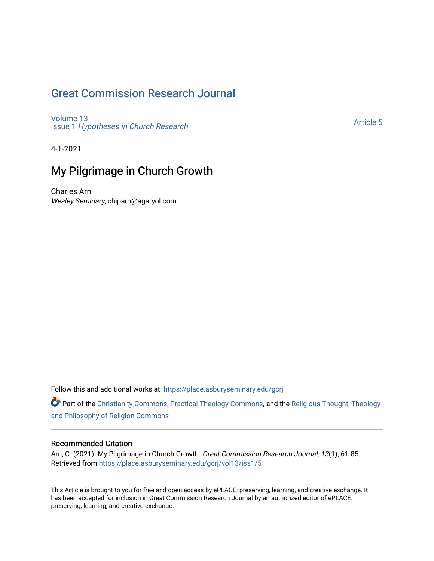# [Great Commission Research Journal](https://place.asburyseminary.edu/gcrj)

[Volume 13](https://place.asburyseminary.edu/gcrj/vol13) Issue 1 [Hypotheses in Church Research](https://place.asburyseminary.edu/gcrj/vol13/iss1)

[Article 5](https://place.asburyseminary.edu/gcrj/vol13/iss1/5) 

4-1-2021

# My Pilgrimage in Church Growth

Charles Arn Wesley Seminary, chiparn@agaryol.com

Follow this and additional works at: [https://place.asburyseminary.edu/gcrj](https://place.asburyseminary.edu/gcrj?utm_source=place.asburyseminary.edu%2Fgcrj%2Fvol13%2Fiss1%2F5&utm_medium=PDF&utm_campaign=PDFCoverPages) 

Part of the [Christianity Commons,](http://network.bepress.com/hgg/discipline/1181?utm_source=place.asburyseminary.edu%2Fgcrj%2Fvol13%2Fiss1%2F5&utm_medium=PDF&utm_campaign=PDFCoverPages) [Practical Theology Commons](http://network.bepress.com/hgg/discipline/1186?utm_source=place.asburyseminary.edu%2Fgcrj%2Fvol13%2Fiss1%2F5&utm_medium=PDF&utm_campaign=PDFCoverPages), and the [Religious Thought, Theology](http://network.bepress.com/hgg/discipline/544?utm_source=place.asburyseminary.edu%2Fgcrj%2Fvol13%2Fiss1%2F5&utm_medium=PDF&utm_campaign=PDFCoverPages)  [and Philosophy of Religion Commons](http://network.bepress.com/hgg/discipline/544?utm_source=place.asburyseminary.edu%2Fgcrj%2Fvol13%2Fiss1%2F5&utm_medium=PDF&utm_campaign=PDFCoverPages)

#### Recommended Citation

Arn, C. (2021). My Pilgrimage in Church Growth. Great Commission Research Journal, 13(1), 61-85. Retrieved from [https://place.asburyseminary.edu/gcrj/vol13/iss1/5](https://place.asburyseminary.edu/gcrj/vol13/iss1/5?utm_source=place.asburyseminary.edu%2Fgcrj%2Fvol13%2Fiss1%2F5&utm_medium=PDF&utm_campaign=PDFCoverPages)

This Article is brought to you for free and open access by ePLACE: preserving, learning, and creative exchange. It has been accepted for inclusion in Great Commission Research Journal by an authorized editor of ePLACE: preserving, learning, and creative exchange.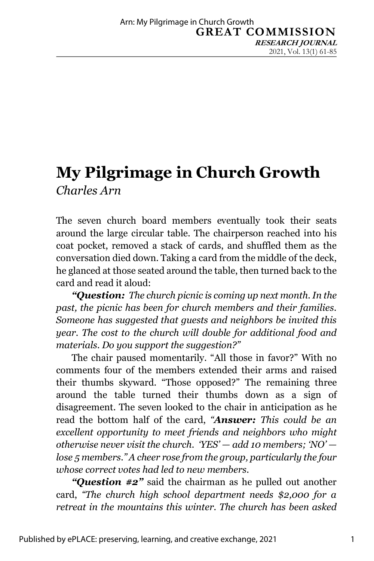# **My Pilgrimage in Church Growth** *Charles Arn*

The seven church board members eventually took their seats around the large circular table. The chairperson reached into his coat pocket, removed a stack of cards, and shuffled them as the conversation died down. Taking a card from the middle of the deck, he glanced at those seated around the table, then turned back to the card and read it aloud:

*"Question: The church picnic is coming up next month. In the past, the picnic has been for church members and their families. Someone has suggested that guests and neighbors be invited this year. The cost to the church will double for additional food and materials. Do you support the suggestion?"*

The chair paused momentarily. "All those in favor?" With no comments four of the members extended their arms and raised their thumbs skyward. "Those opposed?" The remaining three around the table turned their thumbs down as a sign of disagreement. The seven looked to the chair in anticipation as he read the bottom half of the card, *"Answer: This could be an excellent opportunity to meet friends and neighbors who might otherwise never visit the church. 'YES' — add 10 members; 'NO' lose 5 members." A cheer rose from the group, particularly the four whose correct votes had led to new members.* 

*"Question #2"* said the chairman as he pulled out another card, *"The church high school department needs \$2,000 for a retreat in the mountains this winter. The church has been asked*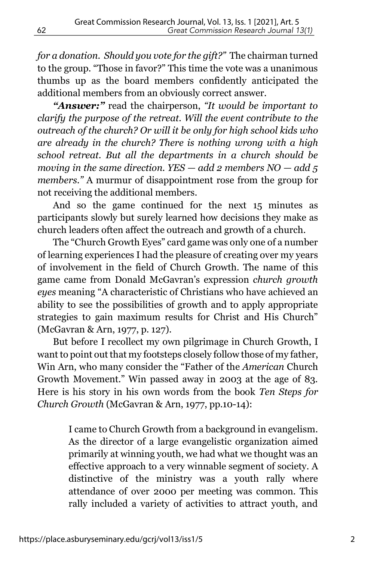*for a donation. Should you vote for the gift?"* The chairman turned to the group. "Those in favor?" This time the vote was a unanimous thumbs up as the board members confidently anticipated the additional members from an obviously correct answer.

*"Answer:"* read the chairperson, *"It would be important to clarify the purpose of the retreat. Will the event contribute to the outreach of the church? Or will it be only for high school kids who are already in the church? There is nothing wrong with a high school retreat. But all the departments in a church should be moving in the same direction. YES — add 2 members NO — add 5 members."* A murmur of disappointment rose from the group for not receiving the additional members.

And so the game continued for the next 15 minutes as participants slowly but surely learned how decisions they make as church leaders often affect the outreach and growth of a church.

The "Church Growth Eyes" card game was only one of a number of learning experiences I had the pleasure of creating over my years of involvement in the field of Church Growth. The name of this game came from Donald McGavran's expression *church growth eyes* meaning "A characteristic of Christians who have achieved an ability to see the possibilities of growth and to apply appropriate strategies to gain maximum results for Christ and His Church" (McGavran & Arn, 1977, p. 127).

But before I recollect my own pilgrimage in Church Growth, I want to point out that my footsteps closely follow those of my father, Win Arn, who many consider the "Father of the *American* Church Growth Movement." Win passed away in 2003 at the age of 83. Here is his story in his own words from the book *Ten Steps for Church Growth* (McGavran & Arn, 1977, pp.10-14):

> I came to Church Growth from a background in evangelism. As the director of a large evangelistic organization aimed primarily at winning youth, we had what we thought was an effective approach to a very winnable segment of society. A distinctive of the ministry was a youth rally where attendance of over 2000 per meeting was common. This rally included a variety of activities to attract youth, and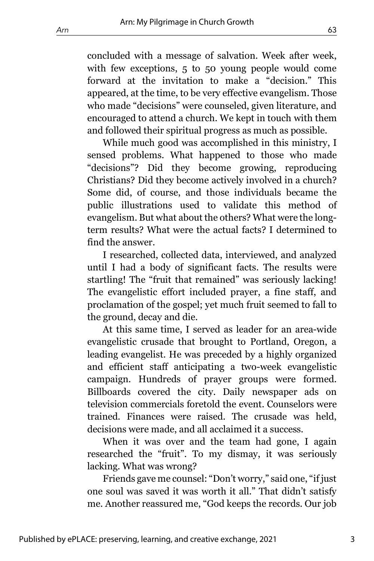concluded with a message of salvation. Week after week, with few exceptions, 5 to 50 young people would come forward at the invitation to make a "decision." This appeared, at the time, to be very effective evangelism. Those who made "decisions" were counseled, given literature, and encouraged to attend a church. We kept in touch with them and followed their spiritual progress as much as possible.

While much good was accomplished in this ministry, I sensed problems. What happened to those who made "decisions"? Did they become growing, reproducing Christians? Did they become actively involved in a church? Some did, of course, and those individuals became the public illustrations used to validate this method of evangelism. But what about the others? What were the longterm results? What were the actual facts? I determined to find the answer.

I researched, collected data, interviewed, and analyzed until I had a body of significant facts. The results were startling! The "fruit that remained" was seriously lacking! The evangelistic effort included prayer, a fine staff, and proclamation of the gospel; yet much fruit seemed to fall to the ground, decay and die.

At this same time, I served as leader for an area-wide evangelistic crusade that brought to Portland, Oregon, a leading evangelist. He was preceded by a highly organized and efficient staff anticipating a two-week evangelistic campaign. Hundreds of prayer groups were formed. Billboards covered the city. Daily newspaper ads on television commercials foretold the event. Counselors were trained. Finances were raised. The crusade was held, decisions were made, and all acclaimed it a success.

When it was over and the team had gone, I again researched the "fruit". To my dismay, it was seriously lacking. What was wrong?

Friends gave me counsel: "Don't worry," said one, "if just one soul was saved it was worth it all." That didn't satisfy me. Another reassured me, "God keeps the records. Our job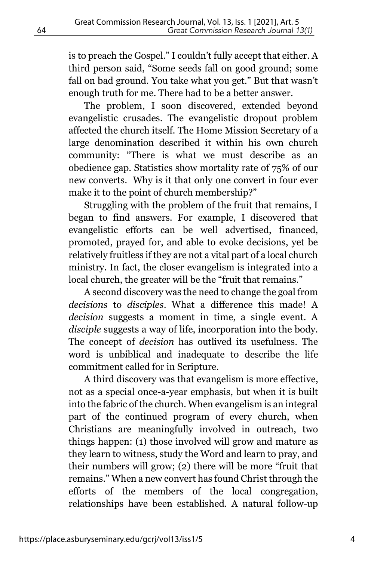is to preach the Gospel." I couldn't fully accept that either. A third person said, "Some seeds fall on good ground; some fall on bad ground. You take what you get." But that wasn't enough truth for me. There had to be a better answer.

The problem, I soon discovered, extended beyond evangelistic crusades. The evangelistic dropout problem affected the church itself. The Home Mission Secretary of a large denomination described it within his own church community: "There is what we must describe as an obedience gap. Statistics show mortality rate of 75% of our new converts. Why is it that only one convert in four ever make it to the point of church membership?"

Struggling with the problem of the fruit that remains, I began to find answers. For example, I discovered that evangelistic efforts can be well advertised, financed, promoted, prayed for, and able to evoke decisions, yet be relatively fruitless if they are not a vital part of a local church ministry. In fact, the closer evangelism is integrated into a local church, the greater will be the "fruit that remains."

A second discovery was the need to change the goal from *decisions* to *disciples*. What a difference this made! A *decision* suggests a moment in time, a single event. A *disciple* suggests a way of life, incorporation into the body. The concept of *decision* has outlived its usefulness. The word is unbiblical and inadequate to describe the life commitment called for in Scripture.

A third discovery was that evangelism is more effective, not as a special once-a-year emphasis, but when it is built into the fabric of the church. When evangelism is an integral part of the continued program of every church, when Christians are meaningfully involved in outreach, two things happen: (1) those involved will grow and mature as they learn to witness, study the Word and learn to pray, and their numbers will grow; (2) there will be more "fruit that remains." When a new convert has found Christ through the efforts of the members of the local congregation, relationships have been established. A natural follow-up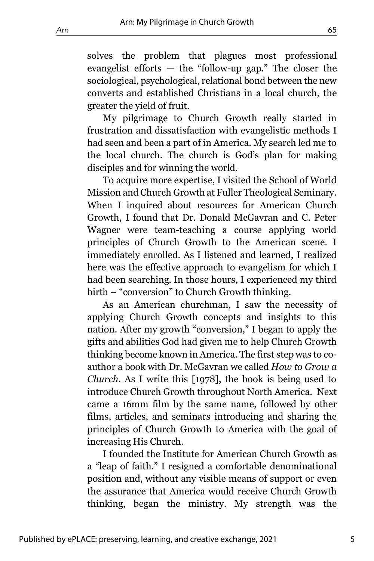solves the problem that plagues most professional evangelist efforts — the "follow-up gap." The closer the sociological, psychological, relational bond between the new converts and established Christians in a local church, the greater the yield of fruit.

My pilgrimage to Church Growth really started in frustration and dissatisfaction with evangelistic methods I had seen and been a part of in America. My search led me to the local church. The church is God's plan for making disciples and for winning the world.

To acquire more expertise, I visited the School of World Mission and Church Growth at Fuller Theological Seminary. When I inquired about resources for American Church Growth, I found that Dr. Donald McGavran and C. Peter Wagner were team-teaching a course applying world principles of Church Growth to the American scene. I immediately enrolled. As I listened and learned, I realized here was the effective approach to evangelism for which I had been searching. In those hours, I experienced my third birth – "conversion" to Church Growth thinking.

As an American churchman, I saw the necessity of applying Church Growth concepts and insights to this nation. After my growth "conversion," I began to apply the gifts and abilities God had given me to help Church Growth thinking become known in America. The first step was to coauthor a book with Dr. McGavran we called *How to Grow a Church*. As I write this [1978], the book is being used to introduce Church Growth throughout North America. Next came a 16mm film by the same name, followed by other films, articles, and seminars introducing and sharing the principles of Church Growth to America with the goal of increasing His Church.

I founded the Institute for American Church Growth as a "leap of faith." I resigned a comfortable denominational position and, without any visible means of support or even the assurance that America would receive Church Growth thinking, began the ministry. My strength was the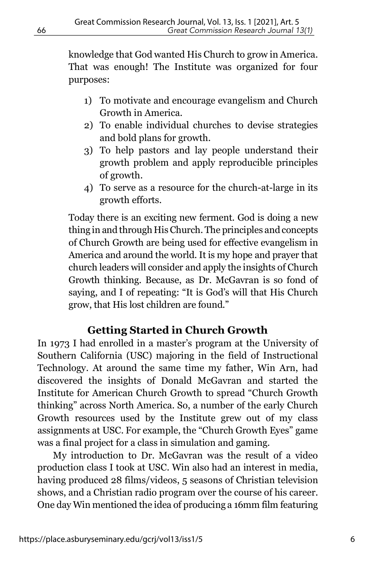knowledge that God wanted His Church to grow in America. That was enough! The Institute was organized for four purposes:

- 1) To motivate and encourage evangelism and Church Growth in America.
- 2) To enable individual churches to devise strategies and bold plans for growth.
- 3) To help pastors and lay people understand their growth problem and apply reproducible principles of growth.
- 4) To serve as a resource for the church-at-large in its growth efforts.

Today there is an exciting new ferment. God is doing a new thing in and through His Church. The principles and concepts of Church Growth are being used for effective evangelism in America and around the world. It is my hope and prayer that church leaders will consider and apply the insights of Church Growth thinking. Because, as Dr. McGavran is so fond of saying, and I of repeating: "It is God's will that His Church grow, that His lost children are found."

# **Getting Started in Church Growth**

In 1973 I had enrolled in a master's program at the University of Southern California (USC) majoring in the field of Instructional Technology. At around the same time my father, Win Arn, had discovered the insights of Donald McGavran and started the Institute for American Church Growth to spread "Church Growth thinking" across North America. So, a number of the early Church Growth resources used by the Institute grew out of my class assignments at USC. For example, the "Church Growth Eyes" game was a final project for a class in simulation and gaming.

My introduction to Dr. McGavran was the result of a video production class I took at USC. Win also had an interest in media, having produced 28 films/videos, 5 seasons of Christian television shows, and a Christian radio program over the course of his career. One day Win mentioned the idea of producing a 16mm film featuring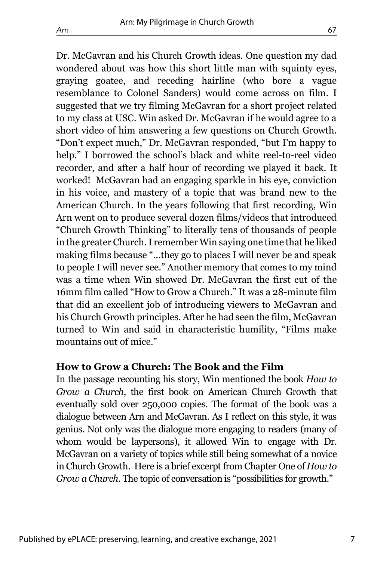Dr. McGavran and his Church Growth ideas. One question my dad wondered about was how this short little man with squinty eyes, graying goatee, and receding hairline (who bore a vague resemblance to Colonel Sanders) would come across on film. I suggested that we try filming McGavran for a short project related to my class at USC. Win asked Dr. McGavran if he would agree to a short video of him answering a few questions on Church Growth. "Don't expect much," Dr. McGavran responded, "but I'm happy to help." I borrowed the school's black and white reel-to-reel video recorder, and after a half hour of recording we played it back. It worked! McGavran had an engaging sparkle in his eye, conviction in his voice, and mastery of a topic that was brand new to the American Church. In the years following that first recording, Win Arn went on to produce several dozen films/videos that introduced "Church Growth Thinking" to literally tens of thousands of people in the greater Church. I remember Win saying one time that he liked making films because "…they go to places I will never be and speak

to people I will never see." Another memory that comes to my mind was a time when Win showed Dr. McGavran the first cut of the 16mm film called "How to Grow a Church." It was a 28-minute film that did an excellent job of introducing viewers to McGavran and his Church Growth principles. After he had seen the film, McGavran turned to Win and said in characteristic humility, "Films make mountains out of mice."

#### **How to Grow a Church: The Book and the Film**

In the passage recounting his story, Win mentioned the book *How to Grow a Church*, the first book on American Church Growth that eventually sold over 250,000 copies. The format of the book was a dialogue between Arn and McGavran. As I reflect on this style, it was genius. Not only was the dialogue more engaging to readers (many of whom would be laypersons), it allowed Win to engage with Dr. McGavran on a variety of topics while still being somewhat of a novice in Church Growth. Here is a brief excerpt from Chapter One of *How to Grow a Church*. The topic of conversation is "possibilities for growth."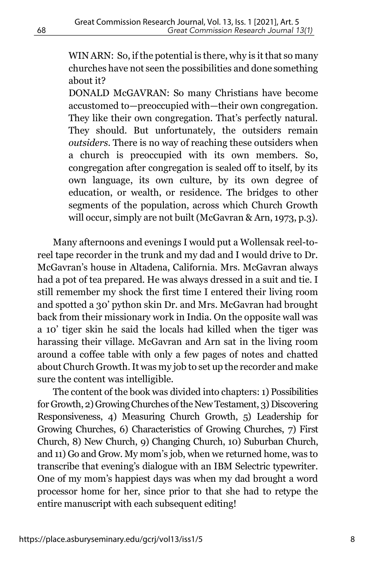WIN ARN: So, if the potential is there, why is it that so many churches have not seen the possibilities and done something about it?

DONALD McGAVRAN: So many Christians have become accustomed to—preoccupied with—their own congregation. They like their own congregation. That's perfectly natural. They should. But unfortunately, the outsiders remain *outsiders.* There is no way of reaching these outsiders when a church is preoccupied with its own members. So, congregation after congregation is sealed off to itself, by its own language, its own culture, by its own degree of education, or wealth, or residence. The bridges to other segments of the population, across which Church Growth will occur, simply are not built (McGavran & Arn, 1973, p.3).

Many afternoons and evenings I would put a Wollensak reel-toreel tape recorder in the trunk and my dad and I would drive to Dr. McGavran's house in Altadena, California. Mrs. McGavran always had a pot of tea prepared. He was always dressed in a suit and tie. I still remember my shock the first time I entered their living room and spotted a 30' python skin Dr. and Mrs. McGavran had brought back from their missionary work in India. On the opposite wall was a 10' tiger skin he said the locals had killed when the tiger was harassing their village. McGavran and Arn sat in the living room around a coffee table with only a few pages of notes and chatted about Church Growth. It was my job to set up the recorder and make sure the content was intelligible.

The content of the book was divided into chapters: 1) Possibilities for Growth, 2) Growing Churches of the New Testament, 3) Discovering Responsiveness, 4) Measuring Church Growth, 5) Leadership for Growing Churches, 6) Characteristics of Growing Churches, 7) First Church, 8) New Church, 9) Changing Church, 10) Suburban Church, and 11) Go and Grow. My mom's job, when we returned home, was to transcribe that evening's dialogue with an IBM Selectric typewriter. One of my mom's happiest days was when my dad brought a word processor home for her, since prior to that she had to retype the entire manuscript with each subsequent editing!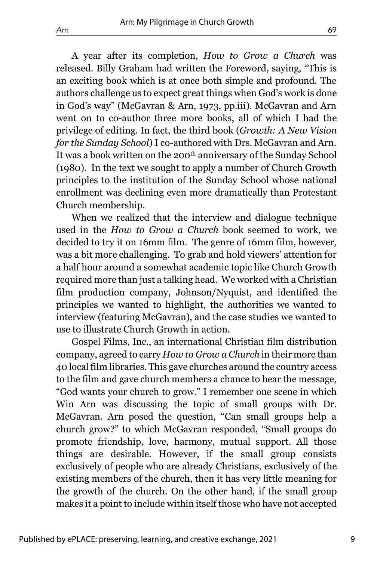A year after its completion, *How to Grow a Church* was released. Billy Graham had written the Foreword, saying*,* "This is an exciting book which is at once both simple and profound. The authors challenge us to expect great things when God's work is done in God's way" (McGavran & Arn, 1973, pp.iii). McGavran and Arn went on to co-author three more books, all of which I had the privilege of editing. In fact, the third book (*Growth: A New Vision for the Sunday School*) I co-authored with Drs. McGavran and Arn. It was a book written on the 200<sup>th</sup> anniversary of the Sunday School (1980). In the text we sought to apply a number of Church Growth principles to the institution of the Sunday School whose national enrollment was declining even more dramatically than Protestant Church membership.

When we realized that the interview and dialogue technique used in the *How to Grow a Church* book seemed to work, we decided to try it on 16mm film. The genre of 16mm film, however, was a bit more challenging. To grab and hold viewers' attention for a half hour around a somewhat academic topic like Church Growth required more than just a talking head. We worked with a Christian film production company, Johnson/Nyquist, and identified the principles we wanted to highlight, the authorities we wanted to interview (featuring McGavran), and the case studies we wanted to use to illustrate Church Growth in action.

Gospel Films, Inc., an international Christian film distribution company, agreed to carry *How to Grow a Church* in their more than 40 local film libraries. This gave churches around the country access to the film and gave church members a chance to hear the message, "God wants your church to grow." I remember one scene in which Win Arn was discussing the topic of small groups with Dr. McGavran. Arn posed the question, "Can small groups help a church grow?" to which McGavran responded, "Small groups do promote friendship, love, harmony, mutual support. All those things are desirable. However, if the small group consists exclusively of people who are already Christians, exclusively of the existing members of the church, then it has very little meaning for the growth of the church. On the other hand, if the small group makes it a point to include within itself those who have not accepted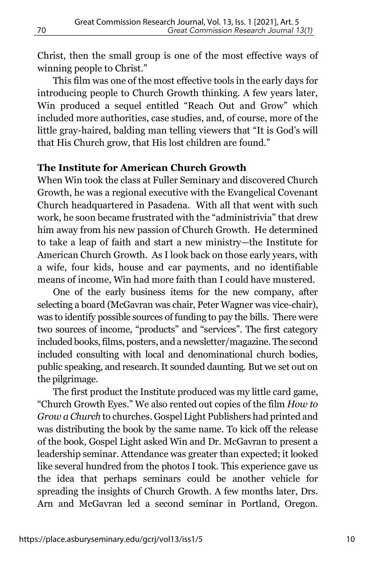Christ, then the small group is one of the most effective ways of winning people to Christ."

This film was one of the most effective tools in the early days for introducing people to Church Growth thinking. A few years later, Win produced a sequel entitled "Reach Out and Grow" which included more authorities, case studies, and, of course, more of the little gray-haired, balding man telling viewers that "It is God's will that His Church grow, that His lost children are found."

#### **The Institute for American Church Growth**

When Win took the class at Fuller Seminary and discovered Church Growth, he was a regional executive with the Evangelical Covenant Church headquartered in Pasadena. With all that went with such work, he soon became frustrated with the "administrivia" that drew him away from his new passion of Church Growth. He determined to take a leap of faith and start a new ministry—the Institute for American Church Growth. As I look back on those early years, with a wife, four kids, house and car payments, and no identifiable means of income, Win had more faith than I could have mustered.

One of the early business items for the new company, after selecting a board (McGavran was chair, Peter Wagner was vice-chair), was to identify possible sources of funding to pay the bills. There were two sources of income, "products" and "services". The first category included books, films, posters, and a newsletter/magazine. The second included consulting with local and denominational church bodies, public speaking, and research. It sounded daunting. But we set out on the pilgrimage.

The first product the Institute produced was my little card game, "Church Growth Eyes." We also rented out copies of the film *How to Grow a Church* to churches. Gospel Light Publishers had printed and was distributing the book by the same name. To kick off the release of the book, Gospel Light asked Win and Dr. McGavran to present a leadership seminar. Attendance was greater than expected; it looked like several hundred from the photos I took. This experience gave us the idea that perhaps seminars could be another vehicle for spreading the insights of Church Growth. A few months later, Drs. Arn and McGavran led a second seminar in Portland, Oregon.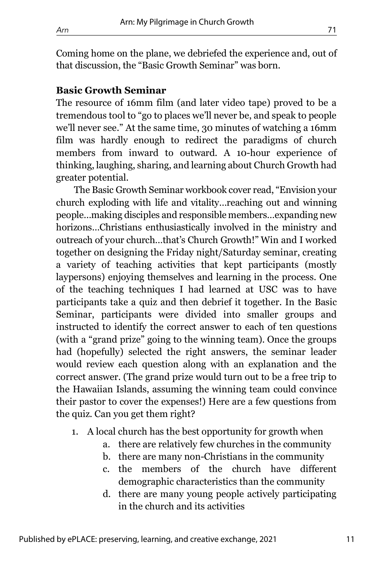Coming home on the plane, we debriefed the experience and, out of that discussion, the "Basic Growth Seminar" was born.

### **Basic Growth Seminar**

The resource of 16mm film (and later video tape) proved to be a tremendous tool to "go to places we'll never be, and speak to people we'll never see." At the same time, 30 minutes of watching a 16mm film was hardly enough to redirect the paradigms of church members from inward to outward. A 10-hour experience of thinking, laughing, sharing, and learning about Church Growth had greater potential.

The Basic Growth Seminar workbook cover read, "Envision your church exploding with life and vitality…reaching out and winning people…making disciples and responsible members…expanding new horizons…Christians enthusiastically involved in the ministry and outreach of your church…that's Church Growth!" Win and I worked together on designing the Friday night/Saturday seminar, creating a variety of teaching activities that kept participants (mostly laypersons) enjoying themselves and learning in the process. One of the teaching techniques I had learned at USC was to have participants take a quiz and then debrief it together. In the Basic Seminar, participants were divided into smaller groups and instructed to identify the correct answer to each of ten questions (with a "grand prize" going to the winning team). Once the groups had (hopefully) selected the right answers, the seminar leader would review each question along with an explanation and the correct answer. (The grand prize would turn out to be a free trip to the Hawaiian Islands, assuming the winning team could convince their pastor to cover the expenses!) Here are a few questions from the quiz. Can you get them right?

- 1. A local church has the best opportunity for growth when
	- a. there are relatively few churches in the community
	- b. there are many non-Christians in the community
	- c. the members of the church have different demographic characteristics than the community
	- d. there are many young people actively participating in the church and its activities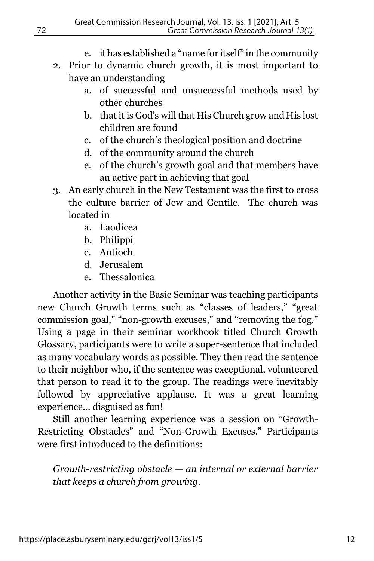- e. it has established a "name for itself" in the community
- 2. Prior to dynamic church growth, it is most important to have an understanding
	- a. of successful and unsuccessful methods used by other churches
	- b. that it is God's will that His Church grow and His lost children are found
	- c. of the church's theological position and doctrine
	- d. of the community around the church
	- e. of the church's growth goal and that members have an active part in achieving that goal
- 3. An early church in the New Testament was the first to cross the culture barrier of Jew and Gentile. The church was located in
	- a. Laodicea
	- b. Philippi
	- c. Antioch
	- d. Jerusalem
	- e. Thessalonica

Another activity in the Basic Seminar was teaching participants new Church Growth terms such as "classes of leaders," "great commission goal," "non-growth excuses," and "removing the fog." Using a page in their seminar workbook titled Church Growth Glossary, participants were to write a super-sentence that included as many vocabulary words as possible. They then read the sentence to their neighbor who, if the sentence was exceptional, volunteered that person to read it to the group. The readings were inevitably followed by appreciative applause. It was a great learning experience… disguised as fun!

Still another learning experience was a session on "Growth-Restricting Obstacles" and "Non-Growth Excuses." Participants were first introduced to the definitions:

*Growth-restricting obstacle — an internal or external barrier that keeps a church from growing.*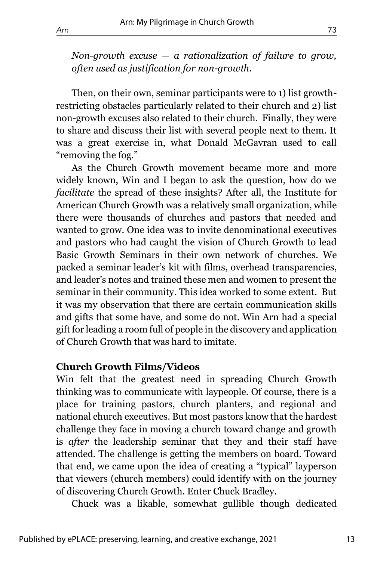*Non-growth excuse — a rationalization of failure to grow, often used as justification for non-growth.*

Then, on their own, seminar participants were to 1) list growthrestricting obstacles particularly related to their church and 2) list non-growth excuses also related to their church. Finally, they were to share and discuss their list with several people next to them. It was a great exercise in, what Donald McGavran used to call "removing the fog."

As the Church Growth movement became more and more widely known, Win and I began to ask the question, how do we *facilitate* the spread of these insights? After all, the Institute for American Church Growth was a relatively small organization, while there were thousands of churches and pastors that needed and wanted to grow. One idea was to invite denominational executives and pastors who had caught the vision of Church Growth to lead Basic Growth Seminars in their own network of churches. We packed a seminar leader's kit with films, overhead transparencies, and leader's notes and trained these men and women to present the seminar in their community. This idea worked to some extent. But it was my observation that there are certain communication skills and gifts that some have, and some do not. Win Arn had a special gift for leading a room full of people in the discovery and application of Church Growth that was hard to imitate.

#### **Church Growth Films/Videos**

Win felt that the greatest need in spreading Church Growth thinking was to communicate with laypeople. Of course, there is a place for training pastors, church planters, and regional and national church executives. But most pastors know that the hardest challenge they face in moving a church toward change and growth is *after* the leadership seminar that they and their staff have attended. The challenge is getting the members on board. Toward that end, we came upon the idea of creating a "typical" layperson that viewers (church members) could identify with on the journey of discovering Church Growth. Enter Chuck Bradley.

Chuck was a likable, somewhat gullible though dedicated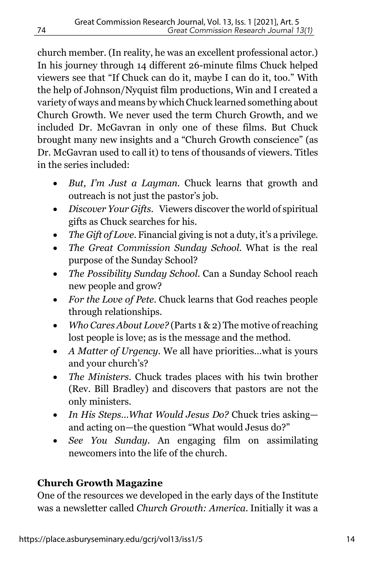church member. (In reality, he was an excellent professional actor.) In his journey through 14 different 26-minute films Chuck helped viewers see that "If Chuck can do it, maybe I can do it, too." With the help of Johnson/Nyquist film productions, Win and I created a variety of ways and means by which Chuck learned something about Church Growth. We never used the term Church Growth, and we included Dr. McGavran in only one of these films. But Chuck brought many new insights and a "Church Growth conscience" (as Dr. McGavran used to call it) to tens of thousands of viewers. Titles in the series included:

- *But, I'm Just a Layman.* Chuck learns that growth and outreach is not just the pastor's job.
- *Discover Your Gifts.* Viewers discover the world of spiritual gifts as Chuck searches for his.
- *The Gift of Love.* Financial giving is not a duty, it's a privilege.
- *The Great Commission Sunday School.* What is the real purpose of the Sunday School?
- *The Possibility Sunday School.* Can a Sunday School reach new people and grow?
- *For the Love of Pete.* Chuck learns that God reaches people through relationships.
- *Who Cares About Love?* (Parts 1 & 2) The motive of reaching lost people is love; as is the message and the method.
- *A Matter of Urgency.* We all have priorities…what is yours and your church's?
- *The Ministers.* Chuck trades places with his twin brother (Rev. Bill Bradley) and discovers that pastors are not the only ministers.
- *In His Steps…What Would Jesus Do?* Chuck tries asking and acting on—the question "What would Jesus do?"
- *See You Sunday.* An engaging film on assimilating newcomers into the life of the church.

# **Church Growth Magazine**

One of the resources we developed in the early days of the Institute was a newsletter called *Church Growth: America*. Initially it was a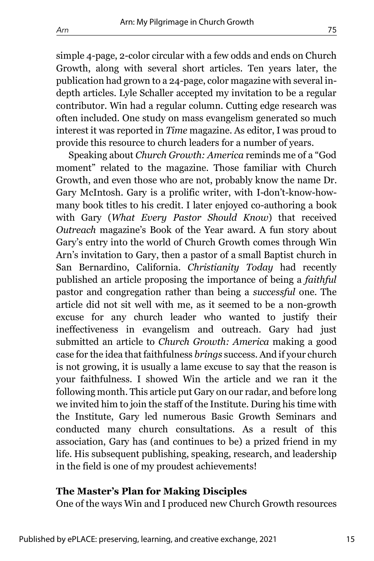simple 4-page, 2-color circular with a few odds and ends on Church Growth, along with several short articles. Ten years later, the publication had grown to a 24-page, color magazine with several indepth articles. Lyle Schaller accepted my invitation to be a regular contributor. Win had a regular column. Cutting edge research was often included. One study on mass evangelism generated so much interest it was reported in *Time* magazine. As editor, I was proud to provide this resource to church leaders for a number of years.

Speaking about *Church Growth: America* reminds me of a "God moment" related to the magazine. Those familiar with Church Growth, and even those who are not, probably know the name Dr. Gary McIntosh. Gary is a prolific writer, with I-don't-know-howmany book titles to his credit. I later enjoyed co-authoring a book with Gary (*What Every Pastor Should Know*) that received *Outreach* magazine's Book of the Year award. A fun story about Gary's entry into the world of Church Growth comes through Win Arn's invitation to Gary, then a pastor of a small Baptist church in San Bernardino, California. *Christianity Today* had recently published an article proposing the importance of being a *faithful* pastor and congregation rather than being a *successful* one. The article did not sit well with me, as it seemed to be a non-growth excuse for any church leader who wanted to justify their ineffectiveness in evangelism and outreach. Gary had just submitted an article to *Church Growth: America* making a good case for the idea that faithfulness *brings* success. And if your church is not growing, it is usually a lame excuse to say that the reason is your faithfulness. I showed Win the article and we ran it the following month. This article put Gary on our radar, and before long we invited him to join the staff of the Institute. During his time with the Institute, Gary led numerous Basic Growth Seminars and conducted many church consultations. As a result of this association, Gary has (and continues to be) a prized friend in my life. His subsequent publishing, speaking, research, and leadership in the field is one of my proudest achievements!

#### **The Master's Plan for Making Disciples**

One of the ways Win and I produced new Church Growth resources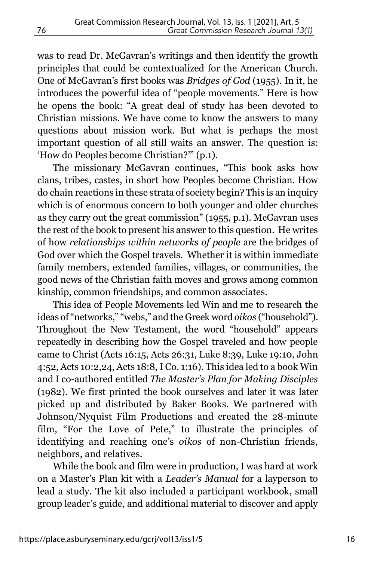was to read Dr. McGavran's writings and then identify the growth principles that could be contextualized for the American Church. One of McGavran's first books was *Bridges of God* (1955). In it, he introduces the powerful idea of "people movements." Here is how he opens the book: "A great deal of study has been devoted to Christian missions. We have come to know the answers to many questions about mission work. But what is perhaps the most important question of all still waits an answer. The question is: 'How do Peoples become Christian?'" (p.1).

The missionary McGavran continues, "This book asks how clans, tribes, castes, in short how Peoples become Christian. How do chain reactions in these strata of society begin? This is an inquiry which is of enormous concern to both younger and older churches as they carry out the great commission" (1955, p.1). McGavran uses the rest of the book to present his answer to this question. He writes of how *relationships within networks of people* are the bridges of God over which the Gospel travels. Whether it is within immediate family members, extended families, villages, or communities, the good news of the Christian faith moves and grows among common kinship, common friendships, and common associates.

This idea of People Movements led Win and me to research the ideas of "networks," "webs," and the Greek word *oikos* ("household"). Throughout the New Testament, the word "household" appears repeatedly in describing how the Gospel traveled and how people came to Christ (Acts 16:15, Acts 26:31, Luke 8:39, Luke 19:10, John 4:52, Acts 10:2,24, Acts 18:8, I Co. 1:16). This idea led to a book Win and I co-authored entitled *The Master's Plan for Making Disciples* (1982). We first printed the book ourselves and later it was later picked up and distributed by Baker Books. We partnered with Johnson/Nyquist Film Productions and created the 28-minute film, "For the Love of Pete," to illustrate the principles of identifying and reaching one's *oikos* of non-Christian friends, neighbors, and relatives.

While the book and film were in production, I was hard at work on a Master's Plan kit with a *Leader's Manual* for a layperson to lead a study. The kit also included a participant workbook, small group leader's guide, and additional material to discover and apply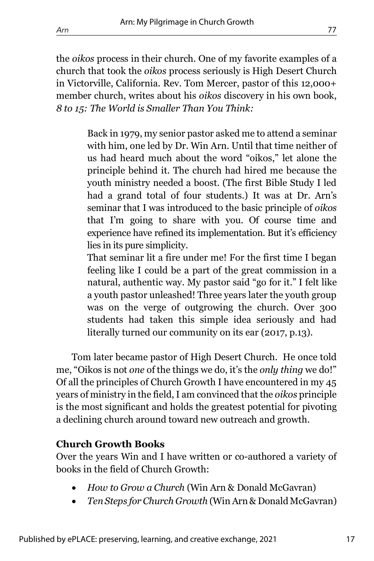the *oikos* process in their church. One of my favorite examples of a church that took the *oikos* process seriously is High Desert Church in Victorville, California. Rev. Tom Mercer, pastor of this 12,000+ member church, writes about his *oikos* discovery in his own book, *8 to 15: The World is Smaller Than You Think:*

> Back in 1979, my senior pastor asked me to attend a seminar with him, one led by Dr. Win Arn. Until that time neither of us had heard much about the word "oikos," let alone the principle behind it. The church had hired me because the youth ministry needed a boost. (The first Bible Study I led had a grand total of four students.) It was at Dr. Arn's seminar that I was introduced to the basic principle of *oikos* that I'm going to share with you. Of course time and experience have refined its implementation. But it's efficiency lies in its pure simplicity.

> That seminar lit a fire under me! For the first time I began feeling like I could be a part of the great commission in a natural, authentic way. My pastor said "go for it." I felt like a youth pastor unleashed! Three years later the youth group was on the verge of outgrowing the church. Over 300 students had taken this simple idea seriously and had literally turned our community on its ear (2017, p.13).

Tom later became pastor of High Desert Church. He once told me, "Oikos is not *one* of the things we do, it's the *only thing* we do!" Of all the principles of Church Growth I have encountered in my 45 years of ministry in the field, I am convinced that the *oikos* principle is the most significant and holds the greatest potential for pivoting a declining church around toward new outreach and growth.

## **Church Growth Books**

Over the years Win and I have written or co-authored a variety of books in the field of Church Growth:

- *How to Grow a Church* (Win Arn & Donald McGavran)
- *Ten Steps for Church Growth* (Win Arn & Donald McGavran)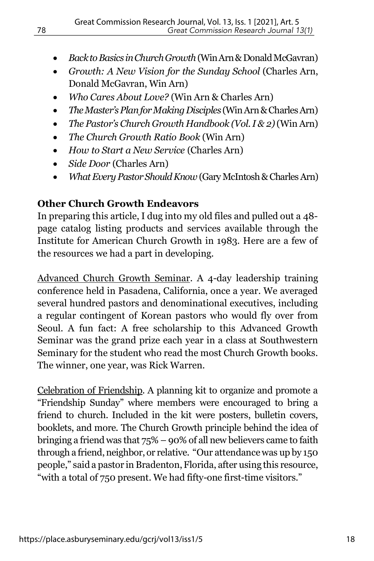- *Back to Basics in Church Growth* (Win Arn & Donald McGavran)
- *Growth: A New Vision for the Sunday School* (Charles Arn, Donald McGavran, Win Arn)
- *Who Cares About Love?* (Win Arn & Charles Arn)
- *The Master's Plan for Making Disciples* (Win Arn & Charles Arn)
- *The Pastor's Church Growth Handbook (Vol. I & 2)*(Win Arn)
- *The Church Growth Ratio Book* (Win Arn)
- *How to Start a New Service* (Charles Arn)
- *Side Door* (Charles Arn)
- *What Every Pastor Should Know* (Gary McIntosh & Charles Arn)

# **Other Church Growth Endeavors**

In preparing this article, I dug into my old files and pulled out a 48 page catalog listing products and services available through the Institute for American Church Growth in 1983. Here are a few of the resources we had a part in developing.

Advanced Church Growth Seminar. A 4-day leadership training conference held in Pasadena, California, once a year. We averaged several hundred pastors and denominational executives, including a regular contingent of Korean pastors who would fly over from Seoul. A fun fact: A free scholarship to this Advanced Growth Seminar was the grand prize each year in a class at Southwestern Seminary for the student who read the most Church Growth books. The winner, one year, was Rick Warren.

Celebration of Friendship. A planning kit to organize and promote a "Friendship Sunday" where members were encouraged to bring a friend to church. Included in the kit were posters, bulletin covers, booklets, and more. The Church Growth principle behind the idea of bringing a friend was that 75% – 90% of all new believers came to faith through a friend, neighbor, or relative. "Our attendance was up by 150 people," said a pastor in Bradenton, Florida, after using this resource, "with a total of 750 present. We had fifty-one first-time visitors."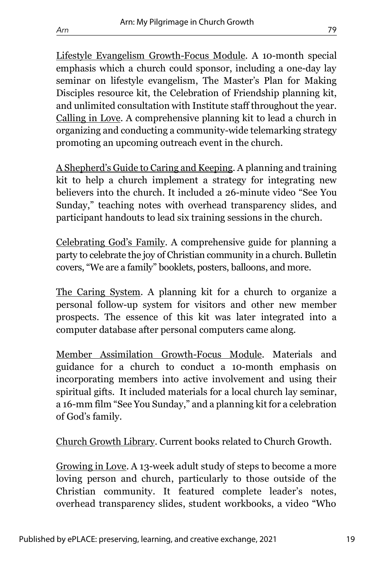Lifestyle Evangelism Growth-Focus Module. A 10-month special emphasis which a church could sponsor, including a one-day lay seminar on lifestyle evangelism, The Master's Plan for Making Disciples resource kit, the Celebration of Friendship planning kit, and unlimited consultation with Institute staff throughout the year. Calling in Love. A comprehensive planning kit to lead a church in organizing and conducting a community-wide telemarking strategy promoting an upcoming outreach event in the church.

A Shepherd's Guide to Caring and Keeping. A planning and training kit to help a church implement a strategy for integrating new believers into the church. It included a 26-minute video "See You Sunday," teaching notes with overhead transparency slides, and participant handouts to lead six training sessions in the church.

Celebrating God's Family. A comprehensive guide for planning a party to celebrate the joy of Christian community in a church. Bulletin covers, "We are a family" booklets, posters, balloons, and more.

The Caring System. A planning kit for a church to organize a personal follow-up system for visitors and other new member prospects. The essence of this kit was later integrated into a computer database after personal computers came along.

Member Assimilation Growth-Focus Module. Materials and guidance for a church to conduct a 10-month emphasis on incorporating members into active involvement and using their spiritual gifts. It included materials for a local church lay seminar, a 16-mm film "See You Sunday," and a planning kit for a celebration of God's family.

Church Growth Library. Current books related to Church Growth.

Growing in Love. A 13-week adult study of steps to become a more loving person and church, particularly to those outside of the Christian community. It featured complete leader's notes, overhead transparency slides, student workbooks, a video "Who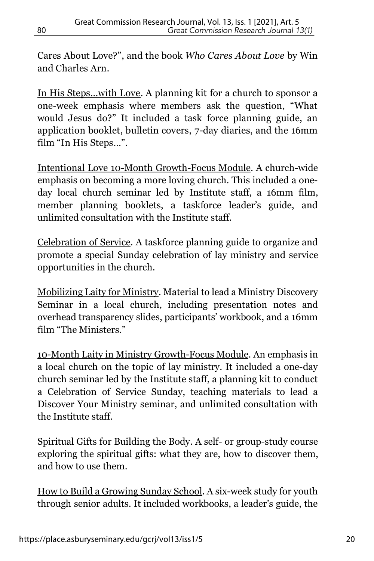Cares About Love?", and the book *Who Cares About Love* by Win and Charles Arn.

In His Steps…with Love. A planning kit for a church to sponsor a one-week emphasis where members ask the question, "What would Jesus do?" It included a task force planning guide, an application booklet, bulletin covers, 7-day diaries, and the 16mm film "In His Steps…".

Intentional Love 10-Month Growth-Focus Module. A church-wide emphasis on becoming a more loving church. This included a oneday local church seminar led by Institute staff, a 16mm film, member planning booklets, a taskforce leader's guide, and unlimited consultation with the Institute staff.

Celebration of Service. A taskforce planning guide to organize and promote a special Sunday celebration of lay ministry and service opportunities in the church.

Mobilizing Laity for Ministry. Material to lead a Ministry Discovery Seminar in a local church, including presentation notes and overhead transparency slides, participants' workbook, and a 16mm film "The Ministers."

10-Month Laity in Ministry Growth-Focus Module. An emphasis in a local church on the topic of lay ministry. It included a one-day church seminar led by the Institute staff, a planning kit to conduct a Celebration of Service Sunday, teaching materials to lead a Discover Your Ministry seminar, and unlimited consultation with the Institute staff.

Spiritual Gifts for Building the Body. A self- or group-study course exploring the spiritual gifts: what they are, how to discover them, and how to use them.

How to Build a Growing Sunday School. A six-week study for youth through senior adults. It included workbooks, a leader's guide, the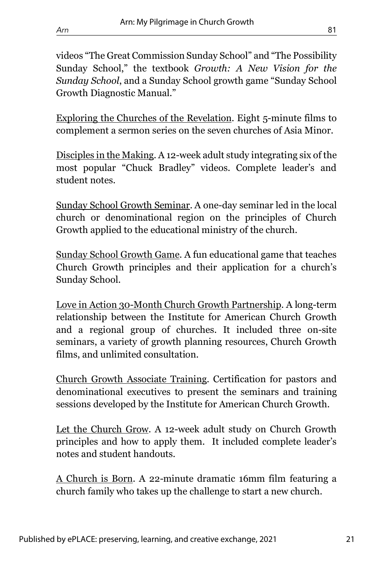videos "The Great Commission Sunday School" and "The Possibility Sunday School," the textbook *Growth: A New Vision for the Sunday School*, and a Sunday School growth game "Sunday School Growth Diagnostic Manual."

Exploring the Churches of the Revelation. Eight 5-minute films to complement a sermon series on the seven churches of Asia Minor.

Disciples in the Making. A 12-week adult study integrating six of the most popular "Chuck Bradley" videos. Complete leader's and student notes.

Sunday School Growth Seminar. A one-day seminar led in the local church or denominational region on the principles of Church Growth applied to the educational ministry of the church.

Sunday School Growth Game. A fun educational game that teaches Church Growth principles and their application for a church's Sunday School.

Love in Action 30-Month Church Growth Partnership. A long-term relationship between the Institute for American Church Growth and a regional group of churches. It included three on-site seminars, a variety of growth planning resources, Church Growth films, and unlimited consultation.

Church Growth Associate Training. Certification for pastors and denominational executives to present the seminars and training sessions developed by the Institute for American Church Growth.

Let the Church Grow. A 12-week adult study on Church Growth principles and how to apply them. It included complete leader's notes and student handouts.

A Church is Born. A 22-minute dramatic 16mm film featuring a church family who takes up the challenge to start a new church.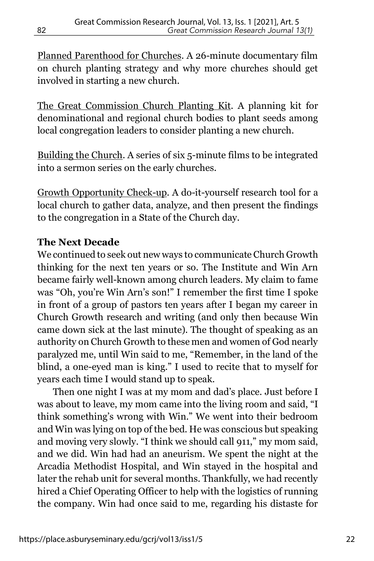Planned Parenthood for Churches. A 26-minute documentary film on church planting strategy and why more churches should get involved in starting a new church.

The Great Commission Church Planting Kit. A planning kit for denominational and regional church bodies to plant seeds among local congregation leaders to consider planting a new church.

Building the Church. A series of six 5-minute films to be integrated into a sermon series on the early churches.

Growth Opportunity Check-up. A do-it-yourself research tool for a local church to gather data, analyze, and then present the findings to the congregation in a State of the Church day.

## **The Next Decade**

We continued to seek out new ways to communicate Church Growth thinking for the next ten years or so. The Institute and Win Arn became fairly well-known among church leaders. My claim to fame was "Oh, you're Win Arn's son!" I remember the first time I spoke in front of a group of pastors ten years after I began my career in Church Growth research and writing (and only then because Win came down sick at the last minute). The thought of speaking as an authority on Church Growth to these men and women of God nearly paralyzed me, until Win said to me, "Remember, in the land of the blind, a one-eyed man is king." I used to recite that to myself for years each time I would stand up to speak.

Then one night I was at my mom and dad's place. Just before I was about to leave, my mom came into the living room and said, "I think something's wrong with Win." We went into their bedroom and Win was lying on top of the bed. He was conscious but speaking and moving very slowly. "I think we should call 911," my mom said, and we did. Win had had an aneurism. We spent the night at the Arcadia Methodist Hospital, and Win stayed in the hospital and later the rehab unit for several months. Thankfully, we had recently hired a Chief Operating Officer to help with the logistics of running the company. Win had once said to me, regarding his distaste for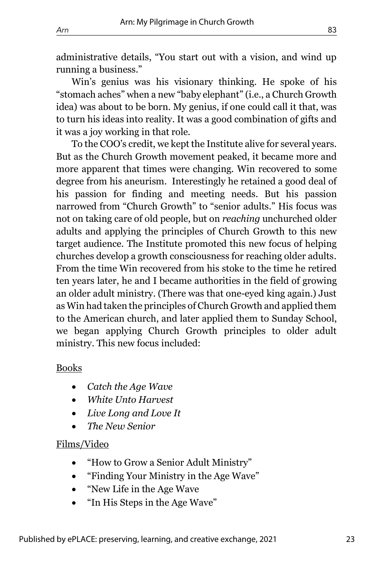administrative details, "You start out with a vision, and wind up running a business."

Win's genius was his visionary thinking. He spoke of his "stomach aches" when a new "baby elephant" (i.e., a Church Growth idea) was about to be born. My genius, if one could call it that, was to turn his ideas into reality. It was a good combination of gifts and it was a joy working in that role.

To the COO's credit, we kept the Institute alive for several years. But as the Church Growth movement peaked, it became more and more apparent that times were changing. Win recovered to some degree from his aneurism. Interestingly he retained a good deal of his passion for finding and meeting needs. But his passion narrowed from "Church Growth" to "senior adults." His focus was not on taking care of old people, but on *reaching* unchurched older adults and applying the principles of Church Growth to this new target audience. The Institute promoted this new focus of helping churches develop a growth consciousness for reaching older adults. From the time Win recovered from his stoke to the time he retired ten years later, he and I became authorities in the field of growing an older adult ministry. (There was that one-eyed king again.) Just as Win had taken the principles of Church Growth and applied them to the American church, and later applied them to Sunday School, we began applying Church Growth principles to older adult ministry. This new focus included:

#### Books

- *Catch the Age Wave*
- *White Unto Harvest*
- *Live Long and Love It*
- *The New Senior*

#### Films/Video

- "How to Grow a Senior Adult Ministry"
- "Finding Your Ministry in the Age Wave"
- "New Life in the Age Wave
- "In His Steps in the Age Wave"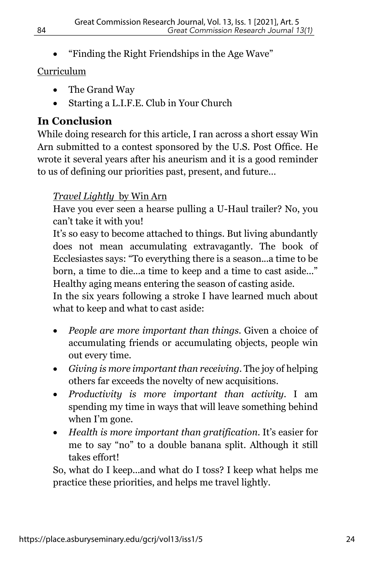• "Finding the Right Friendships in the Age Wave"

# Curriculum

- The Grand Way
- Starting a L.I.F.E. Club in Your Church

# **In Conclusion**

While doing research for this article, I ran across a short essay Win Arn submitted to a contest sponsored by the U.S. Post Office. He wrote it several years after his aneurism and it is a good reminder to us of defining our priorities past, present, and future…

# *Travel Lightly* by Win Arn

Have you ever seen a hearse pulling a U-Haul trailer? No, you can't take it with you!

It's so easy to become attached to things. But living abundantly does not mean accumulating extravagantly. The book of Ecclesiastes says: "To everything there is a season...a time to be born, a time to die...a time to keep and a time to cast aside..." Healthy aging means entering the season of casting aside.

In the six years following a stroke I have learned much about what to keep and what to cast aside:

- *People are more important than things.* Given a choice of accumulating friends or accumulating objects, people win out every time.
- *Giving is more important than receiving.* The joy of helping others far exceeds the novelty of new acquisitions.
- *Productivity is more important than activity.* I am spending my time in ways that will leave something behind when I'm gone.
- *Health is more important than gratification.* It's easier for me to say "no" to a double banana split. Although it still takes effort!

So, what do I keep...and what do I toss? I keep what helps me practice these priorities, and helps me travel lightly.